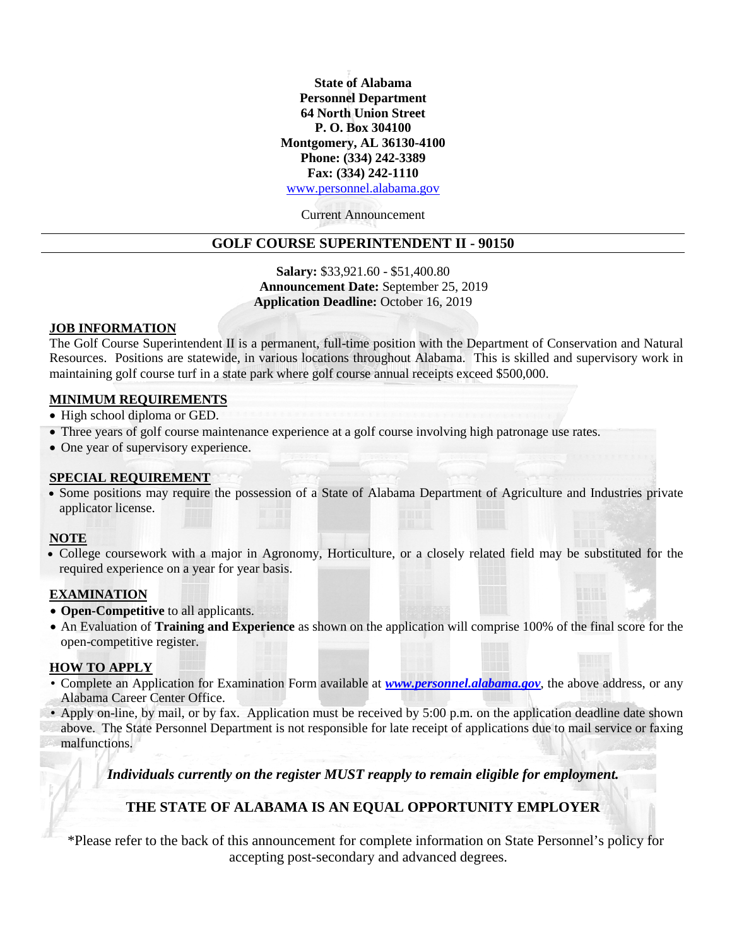**State of Alabama Personnel Department 64 North Union Street P. O. Box 304100 Montgomery, AL 36130-4100 Phone: (334) 242-3389 Fax: (334) 242-1110** [www.personnel.alabama.gov](http://www.personnel.alabama.gov/)

Current Announcement

# **GOLF COURSE SUPERINTENDENT II - 90150**

**Salary:** \$33,921.60 - \$51,400.80 **Announcement Date:** September 25, 2019 **Application Deadline:** October 16, 2019

### **JOB INFORMATION**

The Golf Course Superintendent II is a permanent, full-time position with the Department of Conservation and Natural Resources. Positions are statewide, in various locations throughout Alabama. This is skilled and supervisory work in maintaining golf course turf in a state park where golf course annual receipts exceed \$500,000.

### **MINIMUM REQUIREMENTS**

- High school diploma or GED.
- Three years of golf course maintenance experience at a golf course involving high patronage use rates.
- One year of supervisory experience.

## **SPECIAL REQUIREMENT**

• Some positions may require the possession of a State of Alabama Department of Agriculture and Industries private applicator license.

# **NOTE**

• College coursework with a major in Agronomy, Horticulture, or a closely related field may be substituted for the required experience on a year for year basis.

## **EXAMINATION**

- **Open-Competitive** to all applicants.
- An Evaluation of **Training and Experience** as shown on the application will comprise 100% of the final score for the open-competitive register.

### **HOW TO APPLY**

- Complete an Application for Examination Form available at *[www.personnel.alabama.gov](http://www.personnel.alabama.gov/)*, the above address, or any Alabama Career Center Office.
- Apply on-line, by mail, or by fax. Application must be received by 5:00 p.m. on the application deadline date shown above. The State Personnel Department is not responsible for late receipt of applications due to mail service or faxing malfunctions.

*Individuals currently on the register MUST reapply to remain eligible for employment.*

# **THE STATE OF ALABAMA IS AN EQUAL OPPORTUNITY EMPLOYER**

\*Please refer to the back of this announcement for complete information on State Personnel's policy for accepting post-secondary and advanced degrees.